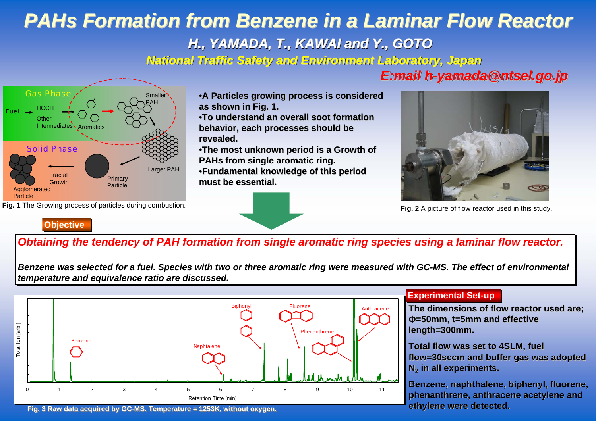# *PAHs Formation from Benzene in a Laminar Flow Reactor PAHs Formation from Benzene in a Laminar Flow Reactor H., YAMADA, T., KAWAI and Y., GOTO H., YAMADA, T., KAWAI and Y., GOTO National Traffic Safety and Environment Laboratory, Japan National Traffic Safety and National Traffic Safety and Environment Laboratory, Japan*



**Fig. 1** The Growing process of particles during combustion.

**A Particles growing process is considered • A Particles growing process is considered as shown in Fig. 1. as shown in Fig. 1.**

•**To understand an overall soot formation To understand overall soot formation** behavior, each processes should be **revealed. revealed.**

•The most unknown period is a Growth of **PAHs from single aromatic ring. PAHs from single aromatic ring.** •**Fundamental knowledge of this period Fundamental knowledge of period must be essential. must be essential.**



**Fig. 2** A picture of flow reactor used in this study.

**Objective Objective**

# *Obtaining the tendency of PAH formation from single aromatic ring species using a laminar flow reactor. Obtaining the tendency of PAH formation from single aromatic ring species using a laminar flow reactor.*

Benzene was selected for a fuel. Species with two or three aromatic ring were measured with GC-MS. The effect of environmental *temperature and equivalence ratio are discussed. temperature and equivalence ratio are discussed.*



### **Experimental Set-up Experimental Set-up**

The dimensions of flow reactor used are: Φ**=50mm, t=5mm and effective =50mm, t=5mm and effective length=300mm. length=300mm.**

**Total flow was set to 4SLM, fuel flow=30sccm and buffer gas was adopted flow=30sccm and buffer gas was adopted N2 in all experiments. all experiments.**

Benzene, naphthalene, biphenyl, fluorene, **phenanthrene, anthracene acetylene and phenanthrene, anthracene acetylene and**  ethylene were detected.

**Fig. 3 Raw data acquired by GC-MS. Temperature = 1253K, without oxygen. Fig. 3 Raw data acquired by GC-MS. Temperature = 1253K, without oxygen.**